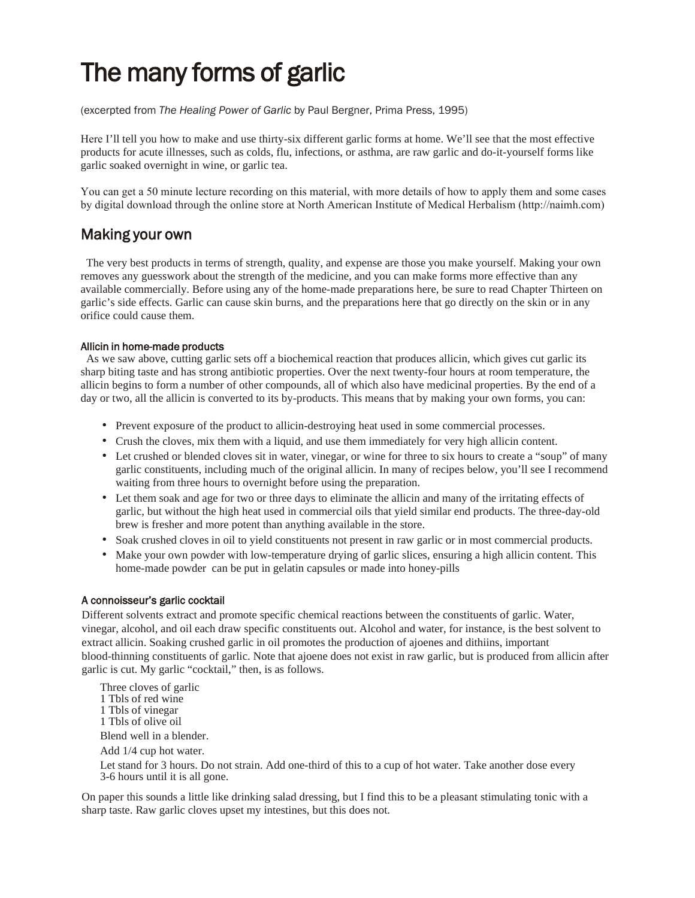# The many forms of garlic

(excerpted from *The Healing Power of Garlic* by Paul Bergner, Prima Press, 1995)

Here I'll tell you how to make and use thirty-six different garlic forms at home. We'll see that the most effective products for acute illnesses, such as colds, flu, infections, or asthma, are raw garlic and do-it-yourself forms like garlic soaked overnight in wine, or garlic tea.

You can get a 50 minute lecture recording on this material, with more details of how to apply them and some cases by digital download through the online store at North American Institute of Medical Herbalism (http://naimh.com)

### Making your own

The very best products in terms of strength, quality, and expense are those you make yourself. Making your own removes any guesswork about the strength of the medicine, and you can make forms more effective than any available commercially. Before using any of the home-made preparations here, be sure to read Chapter Thirteen on garlic's side effects. Garlic can cause skin burns, and the preparations here that go directly on the skin or in any orifice could cause them.

#### Allicin in home-made products

As we saw above, cutting garlic sets off a biochemical reaction that produces allicin, which gives cut garlic its sharp biting taste and has strong antibiotic properties. Over the next twenty-four hours at room temperature, the allicin begins to form a number of other compounds, all of which also have medicinal properties. By the end of a day or two, all the allicin is converted to its by-products. This means that by making your own forms, you can:

- Prevent exposure of the product to allicin-destroying heat used in some commercial processes.
- Crush the cloves, mix them with a liquid, and use them immediately for very high allicin content.
- Let crushed or blended cloves sit in water, vinegar, or wine for three to six hours to create a "soup" of many garlic constituents, including much of the original allicin. In many of recipes below, you'll see I recommend waiting from three hours to overnight before using the preparation.
- Let them soak and age for two or three days to eliminate the allicin and many of the irritating effects of garlic, but without the high heat used in commercial oils that yield similar end products. The three-day-old brew is fresher and more potent than anything available in the store.
- Soak crushed cloves in oil to yield constituents not present in raw garlic or in most commercial products.
- Make your own powder with low-temperature drying of garlic slices, ensuring a high allicin content. This home-made powder can be put in gelatin capsules or made into honey-pills

#### A connoisseur's garlic cocktail

Different solvents extract and promote specific chemical reactions between the constituents of garlic. Water, vinegar, alcohol, and oil each draw specific constituents out. Alcohol and water, for instance, is the best solvent to extract allicin. Soaking crushed garlic in oil promotes the production of ajoenes and dithiins, important blood-thinning constituents of garlic. Note that ajoene does not exist in raw garlic, but is produced from allicin after garlic is cut. My garlic "cocktail," then, is as follows.

Three cloves of garlic 1 Tbls of red wine 1 Tbls of vinegar 1 Tbls of olive oil Blend well in a blender. Add 1/4 cup hot water. Let stand for 3 hours. Do not strain. Add one-third of this to a cup of hot water. Take another dose every

3-6 hours until it is all gone.

On paper this sounds a little like drinking salad dressing, but I find this to be a pleasant stimulating tonic with a sharp taste. Raw garlic cloves upset my intestines, but this does not.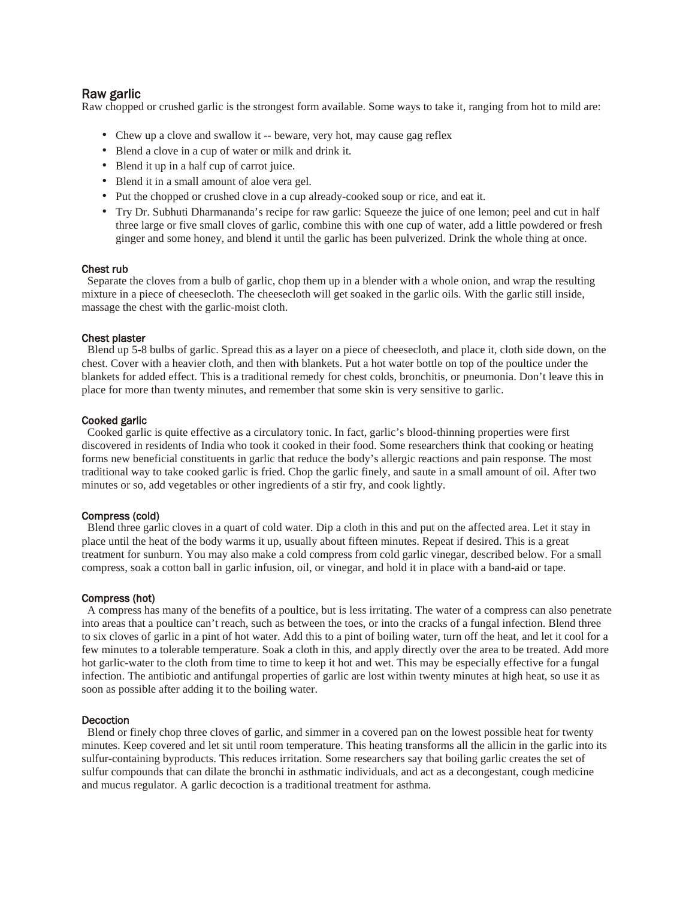#### Raw garlic

Raw chopped or crushed garlic is the strongest form available. Some ways to take it, ranging from hot to mild are:

- Chew up a clove and swallow it -- beware, very hot, may cause gag reflex
- Blend a clove in a cup of water or milk and drink it.
- Blend it up in a half cup of carrot juice.
- Blend it in a small amount of aloe vera gel.
- Put the chopped or crushed clove in a cup already-cooked soup or rice, and eat it.
- Try Dr. Subhuti Dharmananda's recipe for raw garlic: Squeeze the juice of one lemon; peel and cut in half three large or five small cloves of garlic, combine this with one cup of water, add a little powdered or fresh ginger and some honey, and blend it until the garlic has been pulverized. Drink the whole thing at once.

#### Chest rub

Separate the cloves from a bulb of garlic, chop them up in a blender with a whole onion, and wrap the resulting mixture in a piece of cheesecloth. The cheesecloth will get soaked in the garlic oils. With the garlic still inside, massage the chest with the garlic-moist cloth.

#### Chest plaster

Blend up 5-8 bulbs of garlic. Spread this as a layer on a piece of cheesecloth, and place it, cloth side down, on the chest. Cover with a heavier cloth, and then with blankets. Put a hot water bottle on top of the poultice under the blankets for added effect. This is a traditional remedy for chest colds, bronchitis, or pneumonia. Don't leave this in place for more than twenty minutes, and remember that some skin is very sensitive to garlic.

#### Cooked garlic

Cooked garlic is quite effective as a circulatory tonic. In fact, garlic's blood-thinning properties were first discovered in residents of India who took it cooked in their food. Some researchers think that cooking or heating forms new beneficial constituents in garlic that reduce the body's allergic reactions and pain response. The most traditional way to take cooked garlic is fried. Chop the garlic finely, and saute in a small amount of oil. After two minutes or so, add vegetables or other ingredients of a stir fry, and cook lightly.

#### Compress (cold)

Blend three garlic cloves in a quart of cold water. Dip a cloth in this and put on the affected area. Let it stay in place until the heat of the body warms it up, usually about fifteen minutes. Repeat if desired. This is a great treatment for sunburn. You may also make a cold compress from cold garlic vinegar, described below. For a small compress, soak a cotton ball in garlic infusion, oil, or vinegar, and hold it in place with a band-aid or tape.

#### Compress (hot)

A compress has many of the benefits of a poultice, but is less irritating. The water of a compress can also penetrate into areas that a poultice can't reach, such as between the toes, or into the cracks of a fungal infection. Blend three to six cloves of garlic in a pint of hot water. Add this to a pint of boiling water, turn off the heat, and let it cool for a few minutes to a tolerable temperature. Soak a cloth in this, and apply directly over the area to be treated. Add more hot garlic-water to the cloth from time to time to keep it hot and wet. This may be especially effective for a fungal infection. The antibiotic and antifungal properties of garlic are lost within twenty minutes at high heat, so use it as soon as possible after adding it to the boiling water.

#### **Decoction**

Blend or finely chop three cloves of garlic, and simmer in a covered pan on the lowest possible heat for twenty minutes. Keep covered and let sit until room temperature. This heating transforms all the allicin in the garlic into its sulfur-containing byproducts. This reduces irritation. Some researchers say that boiling garlic creates the set of sulfur compounds that can dilate the bronchi in asthmatic individuals, and act as a decongestant, cough medicine and mucus regulator. A garlic decoction is a traditional treatment for asthma.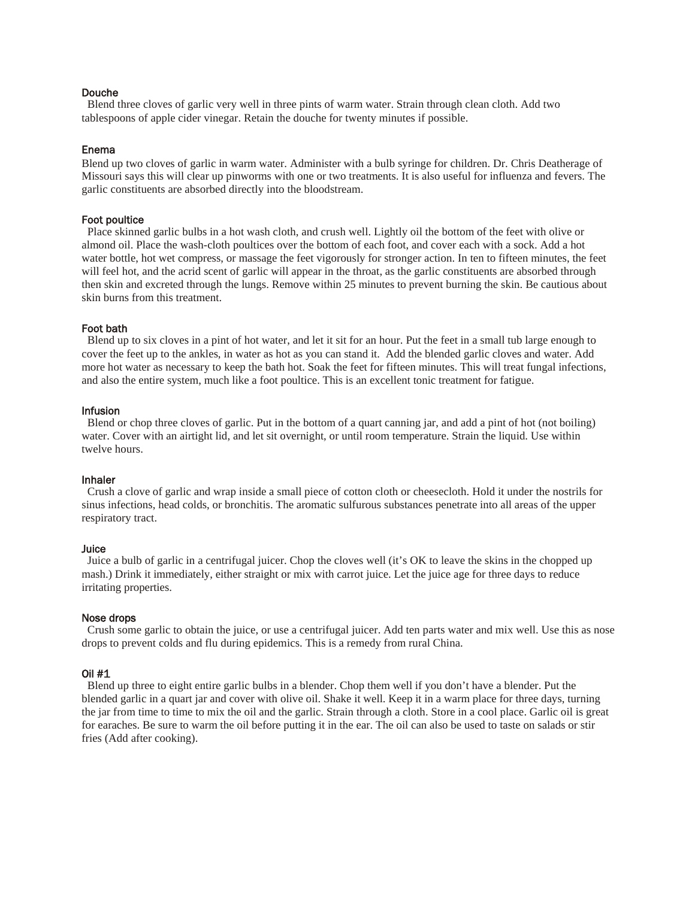#### Douche

Blend three cloves of garlic very well in three pints of warm water. Strain through clean cloth. Add two tablespoons of apple cider vinegar. Retain the douche for twenty minutes if possible.

#### Enema

Blend up two cloves of garlic in warm water. Administer with a bulb syringe for children. Dr. Chris Deatherage of Missouri says this will clear up pinworms with one or two treatments. It is also useful for influenza and fevers. The garlic constituents are absorbed directly into the bloodstream.

#### Foot poultice

Place skinned garlic bulbs in a hot wash cloth, and crush well. Lightly oil the bottom of the feet with olive or almond oil. Place the wash-cloth poultices over the bottom of each foot, and cover each with a sock. Add a hot water bottle, hot wet compress, or massage the feet vigorously for stronger action. In ten to fifteen minutes, the feet will feel hot, and the acrid scent of garlic will appear in the throat, as the garlic constituents are absorbed through then skin and excreted through the lungs. Remove within 25 minutes to prevent burning the skin. Be cautious about skin burns from this treatment.

#### Foot bath

Blend up to six cloves in a pint of hot water, and let it sit for an hour. Put the feet in a small tub large enough to cover the feet up to the ankles, in water as hot as you can stand it. Add the blended garlic cloves and water. Add more hot water as necessary to keep the bath hot. Soak the feet for fifteen minutes. This will treat fungal infections, and also the entire system, much like a foot poultice. This is an excellent tonic treatment for fatigue.

#### Infusion

Blend or chop three cloves of garlic. Put in the bottom of a quart canning jar, and add a pint of hot (not boiling) water. Cover with an airtight lid, and let sit overnight, or until room temperature. Strain the liquid. Use within twelve hours.

#### Inhaler

Crush a clove of garlic and wrap inside a small piece of cotton cloth or cheesecloth. Hold it under the nostrils for sinus infections, head colds, or bronchitis. The aromatic sulfurous substances penetrate into all areas of the upper respiratory tract.

#### **Juice**

Juice a bulb of garlic in a centrifugal juicer. Chop the cloves well (it's OK to leave the skins in the chopped up mash.) Drink it immediately, either straight or mix with carrot juice. Let the juice age for three days to reduce irritating properties.

#### Nose drops

Crush some garlic to obtain the juice, or use a centrifugal juicer. Add ten parts water and mix well. Use this as nose drops to prevent colds and flu during epidemics. This is a remedy from rural China.

#### Oil #1

Blend up three to eight entire garlic bulbs in a blender. Chop them well if you don't have a blender. Put the blended garlic in a quart jar and cover with olive oil. Shake it well. Keep it in a warm place for three days, turning the jar from time to time to mix the oil and the garlic. Strain through a cloth. Store in a cool place. Garlic oil is great for earaches. Be sure to warm the oil before putting it in the ear. The oil can also be used to taste on salads or stir fries (Add after cooking).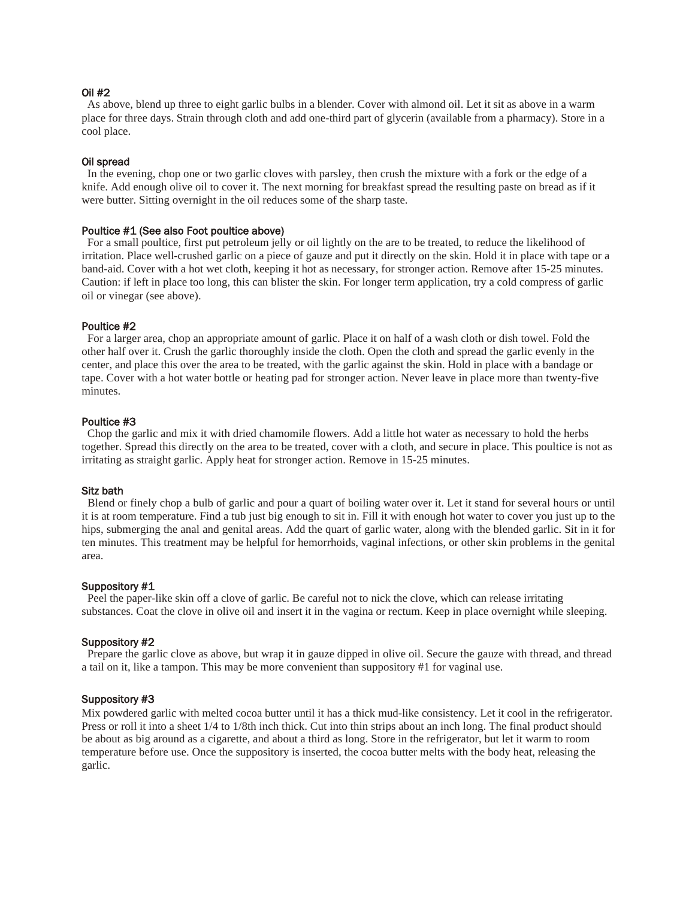#### Oil #2

As above, blend up three to eight garlic bulbs in a blender. Cover with almond oil. Let it sit as above in a warm place for three days. Strain through cloth and add one-third part of glycerin (available from a pharmacy). Store in a cool place.

#### Oil spread

In the evening, chop one or two garlic cloves with parsley, then crush the mixture with a fork or the edge of a knife. Add enough olive oil to cover it. The next morning for breakfast spread the resulting paste on bread as if it were butter. Sitting overnight in the oil reduces some of the sharp taste.

#### Poultice #1 (See also Foot poultice above)

For a small poultice, first put petroleum jelly or oil lightly on the are to be treated, to reduce the likelihood of irritation. Place well-crushed garlic on a piece of gauze and put it directly on the skin. Hold it in place with tape or a band-aid. Cover with a hot wet cloth, keeping it hot as necessary, for stronger action. Remove after 15-25 minutes. Caution: if left in place too long, this can blister the skin. For longer term application, try a cold compress of garlic oil or vinegar (see above).

#### Poultice #2

For a larger area, chop an appropriate amount of garlic. Place it on half of a wash cloth or dish towel. Fold the other half over it. Crush the garlic thoroughly inside the cloth. Open the cloth and spread the garlic evenly in the center, and place this over the area to be treated, with the garlic against the skin. Hold in place with a bandage or tape. Cover with a hot water bottle or heating pad for stronger action. Never leave in place more than twenty-five minutes.

#### Poultice #3

Chop the garlic and mix it with dried chamomile flowers. Add a little hot water as necessary to hold the herbs together. Spread this directly on the area to be treated, cover with a cloth, and secure in place. This poultice is not as irritating as straight garlic. Apply heat for stronger action. Remove in 15-25 minutes.

#### Sitz bath

 Blend or finely chop a bulb of garlic and pour a quart of boiling water over it. Let it stand for several hours or until it is at room temperature. Find a tub just big enough to sit in. Fill it with enough hot water to cover you just up to the hips, submerging the anal and genital areas. Add the quart of garlic water, along with the blended garlic. Sit in it for ten minutes. This treatment may be helpful for hemorrhoids, vaginal infections, or other skin problems in the genital area.

#### Suppository #1

Peel the paper-like skin off a clove of garlic. Be careful not to nick the clove, which can release irritating substances. Coat the clove in olive oil and insert it in the vagina or rectum. Keep in place overnight while sleeping.

#### Suppository #2

Prepare the garlic clove as above, but wrap it in gauze dipped in olive oil. Secure the gauze with thread, and thread a tail on it, like a tampon. This may be more convenient than suppository #1 for vaginal use.

#### Suppository #3

Mix powdered garlic with melted cocoa butter until it has a thick mud-like consistency. Let it cool in the refrigerator. Press or roll it into a sheet 1/4 to 1/8th inch thick. Cut into thin strips about an inch long. The final product should be about as big around as a cigarette, and about a third as long. Store in the refrigerator, but let it warm to room temperature before use. Once the suppository is inserted, the cocoa butter melts with the body heat, releasing the garlic.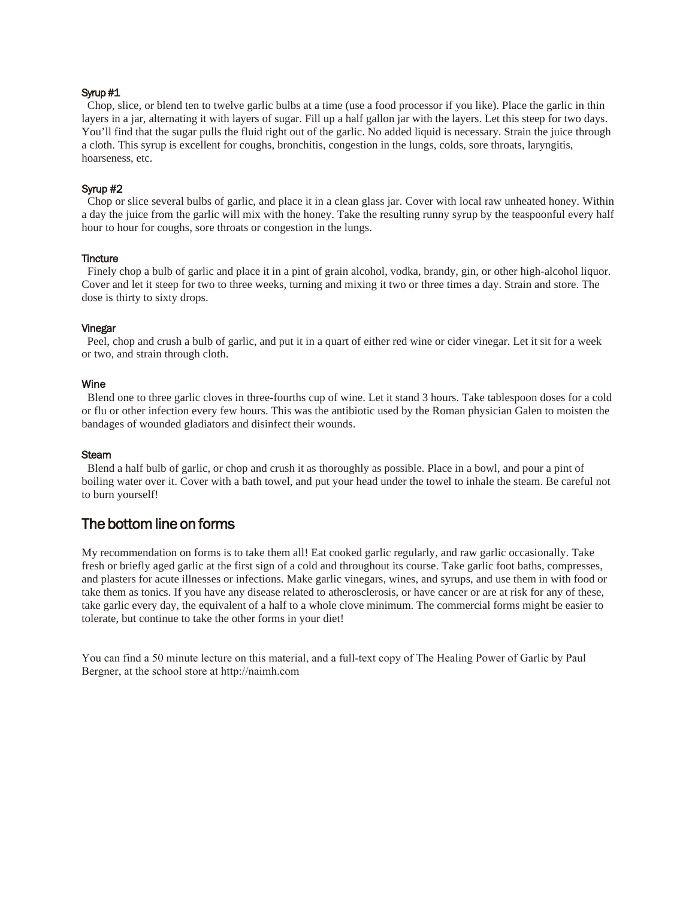#### Syrup #1

Chop, slice, or blend ten to twelve garlic bulbs at a time (use a food processor if you like). Place the garlic in thin layers in a jar, alternating it with layers of sugar. Fill up a half gallon jar with the layers. Let this steep for two days. You'll find that the sugar pulls the fluid right out of the garlic. No added liquid is necessary. Strain the juice through a cloth. This syrup is excellent for coughs, bronchitis, congestion in the lungs, colds, sore throats, laryngitis, hoarseness, etc.

#### Syrup #2

 Chop or slice several bulbs of garlic, and place it in a clean glass jar. Cover with local raw unheated honey. Within a day the juice from the garlic will mix with the honey. Take the resulting runny syrup by the teaspoonful every half hour to hour for coughs, sore throats or congestion in the lungs.

#### **Tincture**

Finely chop a bulb of garlic and place it in a pint of grain alcohol, vodka, brandy, gin, or other high-alcohol liquor. Cover and let it steep for two to three weeks, turning and mixing it two or three times a day. Strain and store. The dose is thirty to sixty drops.

#### Vinegar

 Peel, chop and crush a bulb of garlic, and put it in a quart of either red wine or cider vinegar. Let it sit for a week or two, and strain through cloth.

#### Wine

Blend one to three garlic cloves in three-fourths cup of wine. Let it stand 3 hours. Take tablespoon doses for a cold or flu or other infection every few hours. This was the antibiotic used by the Roman physician Galen to moisten the bandages of wounded gladiators and disinfect their wounds.

#### **Steam**

Blend a half bulb of garlic, or chop and crush it as thoroughly as possible. Place in a bowl, and pour a pint of boiling water over it. Cover with a bath towel, and put your head under the towel to inhale the steam. Be careful not to burn yourself!

## The bottom line on forms

My recommendation on forms is to take them all! Eat cooked garlic regularly, and raw garlic occasionally. Take fresh or briefly aged garlic at the first sign of a cold and throughout its course. Take garlic foot baths, compresses, and plasters for acute illnesses or infections. Make garlic vinegars, wines, and syrups, and use them in with food or take them as tonics. If you have any disease related to atherosclerosis, or have cancer or are at risk for any of these, take garlic every day, the equivalent of a half to a whole clove minimum. The commercial forms might be easier to tolerate, but continue to take the other forms in your diet!

You can find a 50 minute lecture on this material, and a full-text copy of The Healing Power of Garlic by Paul Bergner, at the school store at http://naimh.com